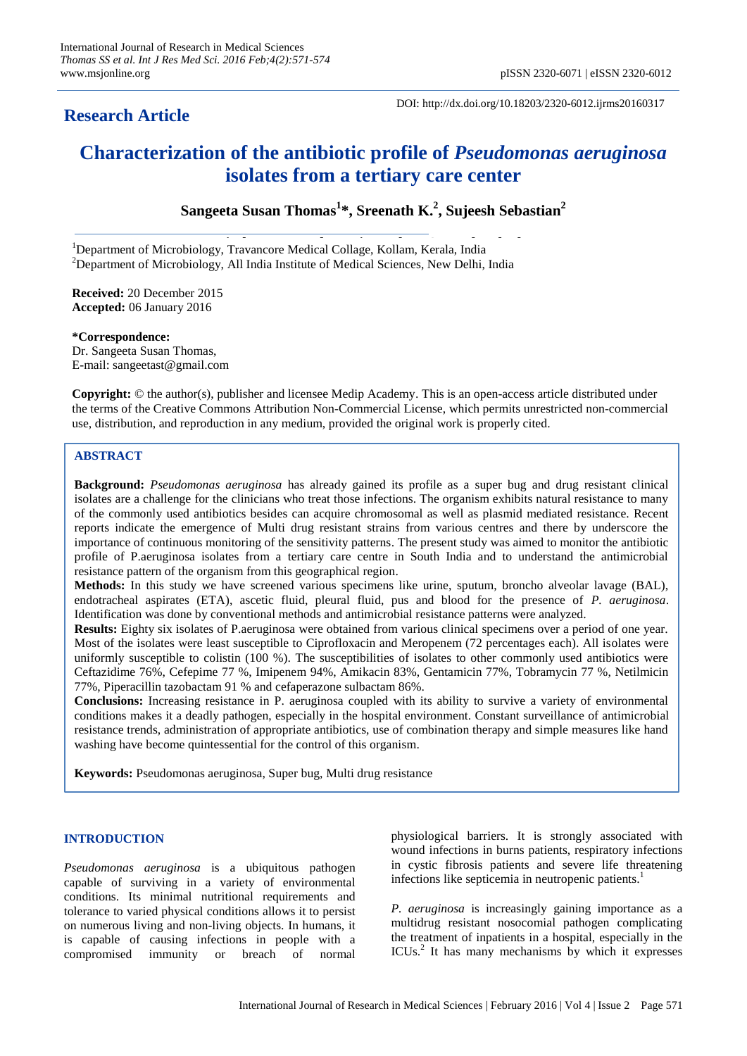# **Research Article**

DOI: http://dx.doi.org/10.18203/2320-6012.ijrms20160317

# **Characterization of the antibiotic profile of** *Pseudomonas aeruginosa* **isolates from a tertiary care center**

**Sangeeta Susan Thomas<sup>1</sup> \*, Sreenath K. 2 , Sujeesh Sebastian<sup>2</sup>**

<sup>1</sup>Department of Microbiology, Travancore Medical Collage, Kollam, Kerala, India  $2$ Department of Microbiology, All India Institute of Medical Sciences, New Delhi, India

**Received:** 20 December 2015 **Accepted:** 06 January 2016

**\*Correspondence:** Dr. Sangeeta Susan Thomas, E-mail: sangeetast@gmail.com

**Copyright:** © the author(s), publisher and licensee Medip Academy. This is an open-access article distributed under the terms of the Creative Commons Attribution Non-Commercial License, which permits unrestricted non-commercial use, distribution, and reproduction in any medium, provided the original work is properly cited.

# **ABSTRACT**

**Background:** *Pseudomonas aeruginosa* has already gained its profile as a super bug and drug resistant clinical isolates are a challenge for the clinicians who treat those infections. The organism exhibits natural resistance to many of the commonly used antibiotics besides can acquire chromosomal as well as plasmid mediated resistance. Recent reports indicate the emergence of Multi drug resistant strains from various centres and there by underscore the importance of continuous monitoring of the sensitivity patterns. The present study was aimed to monitor the antibiotic profile of P.aeruginosa isolates from a tertiary care centre in South India and to understand the antimicrobial resistance pattern of the organism from this geographical region.

**Methods:** In this study we have screened various specimens like urine, sputum, broncho alveolar lavage (BAL), endotracheal aspirates (ETA), ascetic fluid, pleural fluid, pus and blood for the presence of *P. aeruginosa*. Identification was done by conventional methods and antimicrobial resistance patterns were analyzed.

**Results:** Eighty six isolates of P.aeruginosa were obtained from various clinical specimens over a period of one year. Most of the isolates were least susceptible to Ciprofloxacin and Meropenem (72 percentages each). All isolates were uniformly susceptible to colistin (100 %). The susceptibilities of isolates to other commonly used antibiotics were Ceftazidime 76%, Cefepime 77 %, Imipenem 94%, Amikacin 83%, Gentamicin 77%, Tobramycin 77 %, Netilmicin 77%, Piperacillin tazobactam 91 % and cefaperazone sulbactam 86%.

**Conclusions:** Increasing resistance in P. aeruginosa coupled with its ability to survive a variety of environmental conditions makes it a deadly pathogen, especially in the hospital environment. Constant surveillance of antimicrobial resistance trends, administration of appropriate antibiotics, use of combination therapy and simple measures like hand washing have become quintessential for the control of this organism.

**Keywords:** Pseudomonas aeruginosa, Super bug, Multi drug resistance

# **INTRODUCTION**

*Pseudomonas aeruginosa* is a ubiquitous pathogen capable of surviving in a variety of environmental conditions. Its minimal nutritional requirements and tolerance to varied physical conditions allows it to persist on numerous living and non-living objects. In humans, it is capable of causing infections in people with a compromised immunity or breach of normal physiological barriers. It is strongly associated with wound infections in burns patients, respiratory infections in cystic fibrosis patients and severe life threatening infections like septicemia in neutropenic patients.<sup>1</sup>

*P. aeruginosa* is increasingly gaining importance as a multidrug resistant nosocomial pathogen complicating the treatment of inpatients in a hospital, especially in the ICUs.<sup>2</sup> It has many mechanisms by which it expresses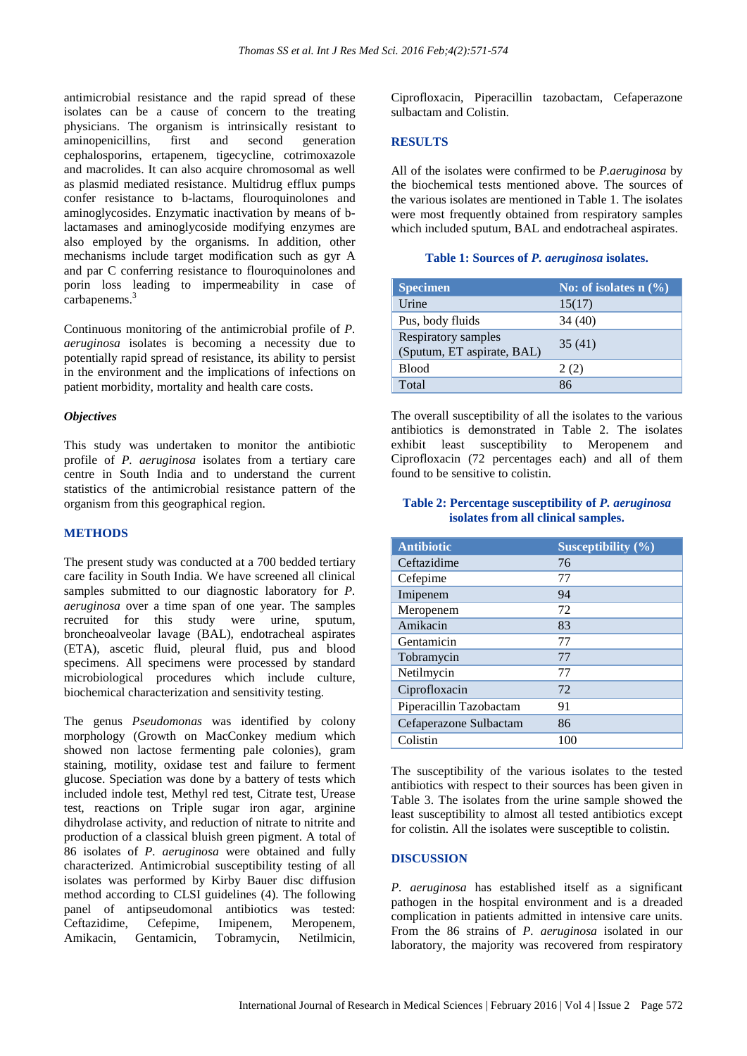antimicrobial resistance and the rapid spread of these isolates can be a cause of concern to the treating physicians. The organism is intrinsically resistant to aminopenicillins, first and second generation cephalosporins, ertapenem, tigecycline, cotrimoxazole and macrolides. It can also acquire chromosomal as well as plasmid mediated resistance. Multidrug efflux pumps confer resistance to b-lactams, flouroquinolones and aminoglycosides. Enzymatic inactivation by means of blactamases and aminoglycoside modifying enzymes are also employed by the organisms. In addition, other mechanisms include target modification such as gyr A and par C conferring resistance to flouroquinolones and porin loss leading to impermeability in case of carbapenems.<sup>3</sup>

Continuous monitoring of the antimicrobial profile of *P. aeruginosa* isolates is becoming a necessity due to potentially rapid spread of resistance, its ability to persist in the environment and the implications of infections on patient morbidity, mortality and health care costs.

# *Objectives*

This study was undertaken to monitor the antibiotic profile of *P. aeruginosa* isolates from a tertiary care centre in South India and to understand the current statistics of the antimicrobial resistance pattern of the organism from this geographical region.

# **METHODS**

The present study was conducted at a 700 bedded tertiary care facility in South India. We have screened all clinical samples submitted to our diagnostic laboratory for *P. aeruginosa* over a time span of one year. The samples recruited for this study were urine, sputum, broncheoalveolar lavage (BAL), endotracheal aspirates (ETA), ascetic fluid, pleural fluid, pus and blood specimens. All specimens were processed by standard microbiological procedures which include culture, biochemical characterization and sensitivity testing.

The genus *Pseudomonas* was identified by colony morphology (Growth on MacConkey medium which showed non lactose fermenting pale colonies), gram staining, motility, oxidase test and failure to ferment glucose. Speciation was done by a battery of tests which included indole test, Methyl red test, Citrate test, Urease test, reactions on Triple sugar iron agar, arginine dihydrolase activity, and reduction of nitrate to nitrite and production of a classical bluish green pigment. A total of 86 isolates of *P. aeruginosa* were obtained and fully characterized. Antimicrobial susceptibility testing of all isolates was performed by Kirby Bauer disc diffusion method according to CLSI guidelines (4). The following panel of antipseudomonal antibiotics was tested: Ceftazidime, Cefepime, Imipenem, Meropenem, Amikacin, Gentamicin, Tobramycin, Netilmicin,

Ciprofloxacin, Piperacillin tazobactam, Cefaperazone sulbactam and Colistin.

### **RESULTS**

All of the isolates were confirmed to be *P.aeruginosa* by the biochemical tests mentioned above. The sources of the various isolates are mentioned in Table 1. The isolates were most frequently obtained from respiratory samples which included sputum, BAL and endotracheal aspirates.

#### **Table 1: Sources of** *P. aeruginosa* **isolates.**

| <b>Specimen</b>                                   | No: of isolates $n$ $(\%)$ |
|---------------------------------------------------|----------------------------|
| Urine                                             | 15(17)                     |
| Pus, body fluids                                  | 34 (40)                    |
| Respiratory samples<br>(Sputum, ET aspirate, BAL) | 35(41)                     |
| <b>Blood</b>                                      | 2(2)                       |
| Total                                             | 86                         |

The overall susceptibility of all the isolates to the various antibiotics is demonstrated in Table 2. The isolates exhibit least susceptibility to Meropenem and Ciprofloxacin (72 percentages each) and all of them found to be sensitive to colistin.

## **Table 2: Percentage susceptibility of** *P. aeruginosa* **isolates from all clinical samples.**

| <b>Antibiotic</b>       | Susceptibility (%) |
|-------------------------|--------------------|
| Ceftazidime             | 76                 |
| Cefepime                | 77                 |
| Imipenem                | 94                 |
| Meropenem               | 72                 |
| Amikacin                | 83                 |
| Gentamicin              | 77                 |
| Tobramycin              | 77                 |
| Netilmycin              | 77                 |
| Ciprofloxacin           | 72                 |
| Piperacillin Tazobactam | 91                 |
| Cefaperazone Sulbactam  | 86                 |
| Colistin                | 100                |

The susceptibility of the various isolates to the tested antibiotics with respect to their sources has been given in Table 3. The isolates from the urine sample showed the least susceptibility to almost all tested antibiotics except for colistin. All the isolates were susceptible to colistin.

# **DISCUSSION**

*P. aeruginosa* has established itself as a significant pathogen in the hospital environment and is a dreaded complication in patients admitted in intensive care units. From the 86 strains of *P. aeruginosa* isolated in our laboratory, the majority was recovered from respiratory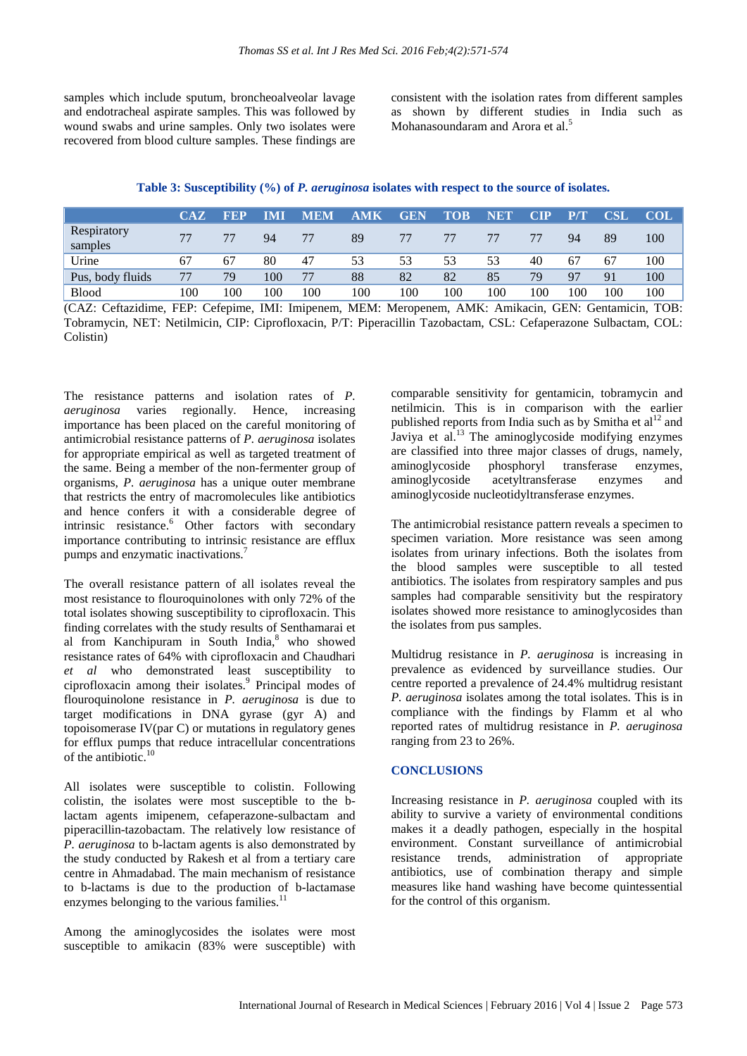samples which include sputum, broncheoalveolar lavage and endotracheal aspirate samples. This was followed by wound swabs and urine samples. Only two isolates were recovered from blood culture samples. These findings are consistent with the isolation rates from different samples as shown by different studies in India such as Mohanasoundaram and Arora et al.<sup>5</sup>

**Table 3: Susceptibility (%) of** *P. aeruginosa* **isolates with respect to the source of isolates.**

|                        | CAZ | <b>FEP</b> | IMI | <b>MEM</b> | <b>AMK</b> | <b>GEN</b> | <b>TOB</b> | <b>NET</b> | $\mathbf{CIP}$ | <b>PT</b> | <b>CSL</b> | <b>COL</b> |
|------------------------|-----|------------|-----|------------|------------|------------|------------|------------|----------------|-----------|------------|------------|
| Respiratory<br>samples | 77  | 77         | 94  | 77         | 89         | 77         | 77         |            |                | 94        | 89         | 100        |
| Urine                  | 67  | 67         | 80  | 47         | 53         | 53         | 53         | 53         | 40             | 67        | 67         | 100        |
| Pus, body fluids       | 77  | 79         | 100 | 77         | 88         | 82         | 82         | 85         | 79             | -97       | 91         | 100        |
| <b>Blood</b>           | 100 | 100        | 100 | 100        | 100        | 100        | 100        | 100        | 100            | 100       | 100        | 100        |

(CAZ: Ceftazidime, FEP: Cefepime, IMI: Imipenem, MEM: Meropenem, AMK: Amikacin, GEN: Gentamicin, TOB: Tobramycin, NET: Netilmicin, CIP: Ciprofloxacin, P/T: Piperacillin Tazobactam, CSL: Cefaperazone Sulbactam, COL: Colistin)

The resistance patterns and isolation rates of *P. aeruginosa* varies regionally. Hence, increasing importance has been placed on the careful monitoring of antimicrobial resistance patterns of *P. aeruginosa* isolates for appropriate empirical as well as targeted treatment of the same. Being a member of the non-fermenter group of organisms, *P. aeruginosa* has a unique outer membrane that restricts the entry of macromolecules like antibiotics and hence confers it with a considerable degree of intrinsic resistance.<sup>6</sup> Other factors with secondary importance contributing to intrinsic resistance are efflux pumps and enzymatic inactivations.<sup>7</sup>

The overall resistance pattern of all isolates reveal the most resistance to flouroquinolones with only 72% of the total isolates showing susceptibility to ciprofloxacin. This finding correlates with the study results of Senthamarai et al from Kanchipuram in South India, <sup>8</sup> who showed resistance rates of 64% with ciprofloxacin and Chaudhari *et al* who demonstrated least susceptibility to ciprofloxacin among their isolates.<sup>9</sup> Principal modes of flouroquinolone resistance in *P. aeruginosa* is due to target modifications in DNA gyrase (gyr A) and topoisomerase IV(par C) or mutations in regulatory genes for efflux pumps that reduce intracellular concentrations of the antibiotic.<sup>10</sup>

All isolates were susceptible to colistin. Following colistin, the isolates were most susceptible to the blactam agents imipenem, cefaperazone-sulbactam and piperacillin-tazobactam. The relatively low resistance of *P. aeruginosa* to b-lactam agents is also demonstrated by the study conducted by Rakesh et al from a tertiary care centre in Ahmadabad. The main mechanism of resistance to b-lactams is due to the production of b-lactamase enzymes belonging to the various families.<sup>11</sup>

Among the aminoglycosides the isolates were most susceptible to amikacin (83% were susceptible) with comparable sensitivity for gentamicin, tobramycin and netilmicin. This is in comparison with the earlier published reports from India such as by Smitha et  $al<sup>12</sup>$  and Javiya et al.<sup>13</sup> The aminoglycoside modifying enzymes are classified into three major classes of drugs, namely, aminoglycoside phosphoryl transferase enzymes, aminoglycoside acetyltransferase enzymes and aminoglycoside nucleotidyltransferase enzymes.

The antimicrobial resistance pattern reveals a specimen to specimen variation. More resistance was seen among isolates from urinary infections. Both the isolates from the blood samples were susceptible to all tested antibiotics. The isolates from respiratory samples and pus samples had comparable sensitivity but the respiratory isolates showed more resistance to aminoglycosides than the isolates from pus samples.

Multidrug resistance in *P. aeruginosa* is increasing in prevalence as evidenced by surveillance studies. Our centre reported a prevalence of 24.4% multidrug resistant *P. aeruginosa* isolates among the total isolates. This is in compliance with the findings by Flamm et al who reported rates of multidrug resistance in *P. aeruginosa* ranging from 23 to 26%.

# **CONCLUSIONS**

Increasing resistance in *P. aeruginosa* coupled with its ability to survive a variety of environmental conditions makes it a deadly pathogen, especially in the hospital environment. Constant surveillance of antimicrobial resistance trends, administration of appropriate antibiotics, use of combination therapy and simple measures like hand washing have become quintessential for the control of this organism.